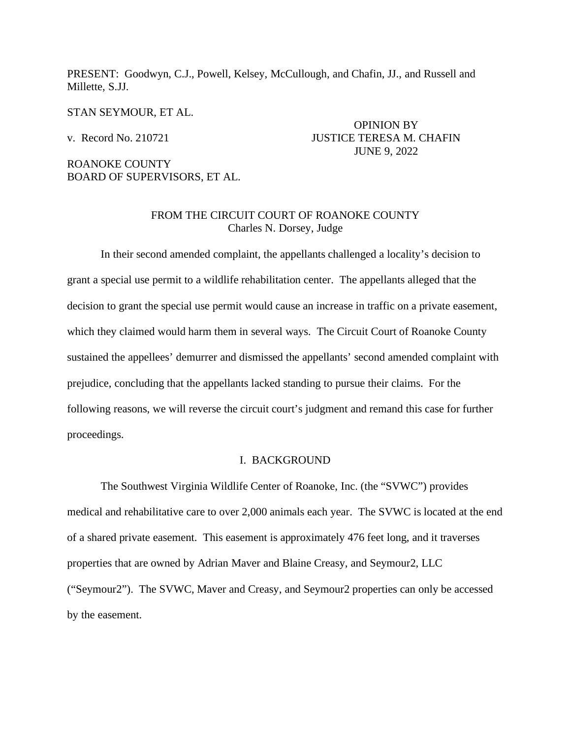PRESENT: Goodwyn, C.J., Powell, Kelsey, McCullough, and Chafin, JJ., and Russell and Millette, S.JJ.

STAN SEYMOUR, ET AL.

# ROANOKE COUNTY BOARD OF SUPERVISORS, ET AL.

# OPINION BY v. Record No. 210721 JUSTICE TERESA M. CHAFIN JUNE 9, 2022

### FROM THE CIRCUIT COURT OF ROANOKE COUNTY Charles N. Dorsey, Judge

In their second amended complaint, the appellants challenged a locality's decision to grant a special use permit to a wildlife rehabilitation center. The appellants alleged that the decision to grant the special use permit would cause an increase in traffic on a private easement, which they claimed would harm them in several ways. The Circuit Court of Roanoke County sustained the appellees' demurrer and dismissed the appellants' second amended complaint with prejudice, concluding that the appellants lacked standing to pursue their claims. For the following reasons, we will reverse the circuit court's judgment and remand this case for further proceedings.

#### I. BACKGROUND

The Southwest Virginia Wildlife Center of Roanoke, Inc. (the "SVWC") provides medical and rehabilitative care to over 2,000 animals each year. The SVWC is located at the end of a shared private easement. This easement is approximately 476 feet long, and it traverses properties that are owned by Adrian Maver and Blaine Creasy, and Seymour2, LLC ("Seymour2"). The SVWC, Maver and Creasy, and Seymour2 properties can only be accessed by the easement.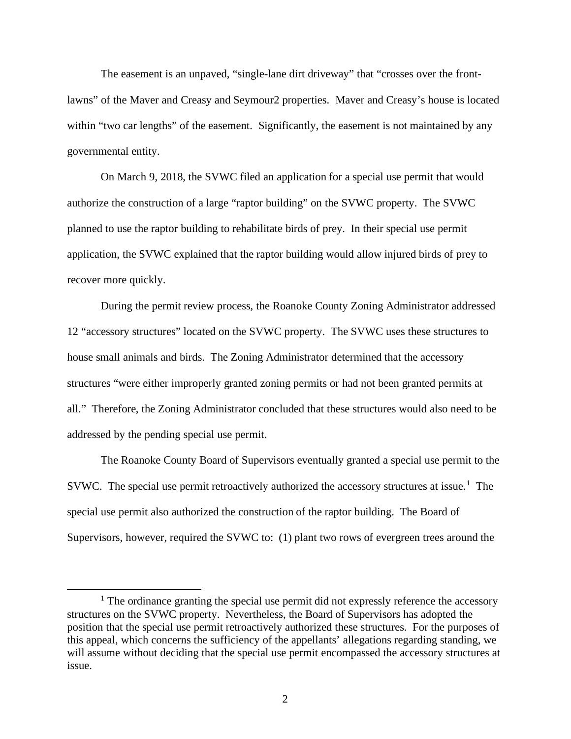The easement is an unpaved, "single-lane dirt driveway" that "crosses over the frontlawns" of the Maver and Creasy and Seymour2 properties. Maver and Creasy's house is located within "two car lengths" of the easement. Significantly, the easement is not maintained by any governmental entity.

On March 9, 2018, the SVWC filed an application for a special use permit that would authorize the construction of a large "raptor building" on the SVWC property. The SVWC planned to use the raptor building to rehabilitate birds of prey. In their special use permit application, the SVWC explained that the raptor building would allow injured birds of prey to recover more quickly.

During the permit review process, the Roanoke County Zoning Administrator addressed 12 "accessory structures" located on the SVWC property. The SVWC uses these structures to house small animals and birds. The Zoning Administrator determined that the accessory structures "were either improperly granted zoning permits or had not been granted permits at all." Therefore, the Zoning Administrator concluded that these structures would also need to be addressed by the pending special use permit.

The Roanoke County Board of Supervisors eventually granted a special use permit to the SVWC. The special use permit retroactively authorized the accessory structures at issue.<sup>[1](#page-1-0)</sup> The special use permit also authorized the construction of the raptor building. The Board of Supervisors, however, required the SVWC to: (1) plant two rows of evergreen trees around the

<span id="page-1-0"></span> $<sup>1</sup>$  The ordinance granting the special use permit did not expressly reference the accessory</sup> structures on the SVWC property. Nevertheless, the Board of Supervisors has adopted the position that the special use permit retroactively authorized these structures. For the purposes of this appeal, which concerns the sufficiency of the appellants' allegations regarding standing, we will assume without deciding that the special use permit encompassed the accessory structures at issue.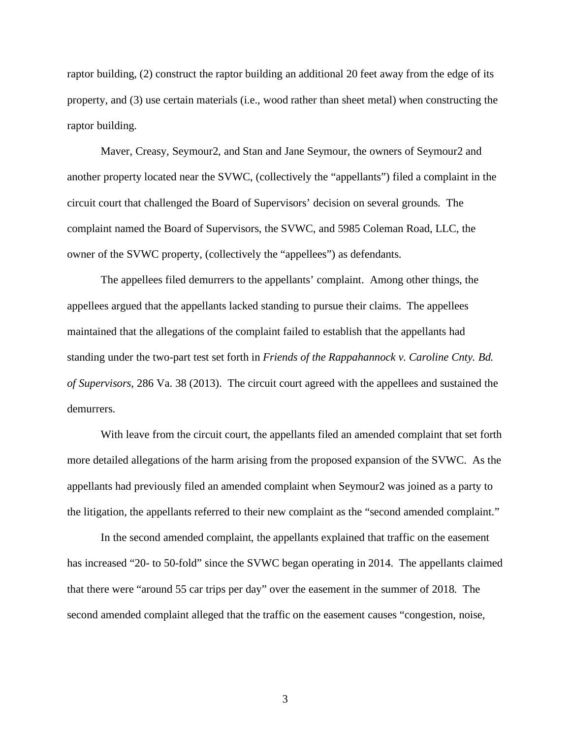raptor building, (2) construct the raptor building an additional 20 feet away from the edge of its property, and (3) use certain materials (i.e., wood rather than sheet metal) when constructing the raptor building.

Maver, Creasy, Seymour2, and Stan and Jane Seymour, the owners of Seymour2 and another property located near the SVWC, (collectively the "appellants") filed a complaint in the circuit court that challenged the Board of Supervisors' decision on several grounds. The complaint named the Board of Supervisors, the SVWC, and 5985 Coleman Road, LLC, the owner of the SVWC property, (collectively the "appellees") as defendants.

The appellees filed demurrers to the appellants' complaint. Among other things, the appellees argued that the appellants lacked standing to pursue their claims. The appellees maintained that the allegations of the complaint failed to establish that the appellants had standing under the two-part test set forth in *Friends of the Rappahannock v. Caroline Cnty. Bd. of Supervisors*, 286 Va. 38 (2013). The circuit court agreed with the appellees and sustained the demurrers.

With leave from the circuit court, the appellants filed an amended complaint that set forth more detailed allegations of the harm arising from the proposed expansion of the SVWC. As the appellants had previously filed an amended complaint when Seymour2 was joined as a party to the litigation, the appellants referred to their new complaint as the "second amended complaint."

In the second amended complaint, the appellants explained that traffic on the easement has increased "20- to 50-fold" since the SVWC began operating in 2014. The appellants claimed that there were "around 55 car trips per day" over the easement in the summer of 2018. The second amended complaint alleged that the traffic on the easement causes "congestion, noise,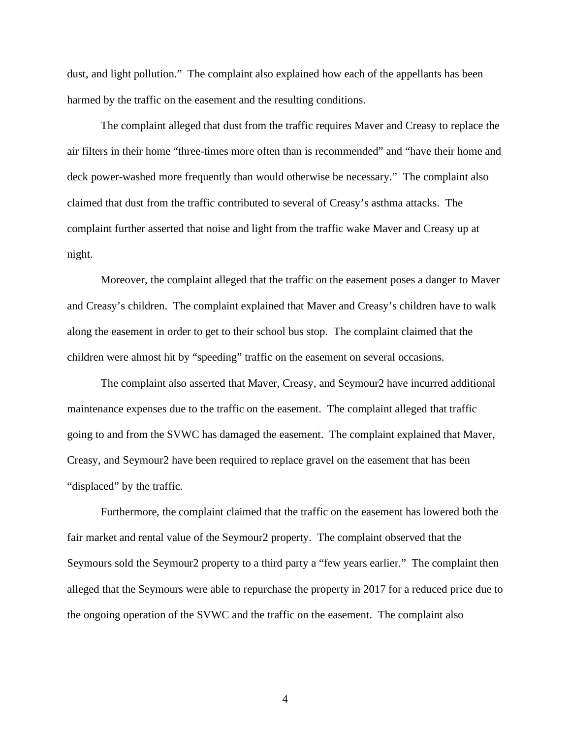dust, and light pollution." The complaint also explained how each of the appellants has been harmed by the traffic on the easement and the resulting conditions.

The complaint alleged that dust from the traffic requires Maver and Creasy to replace the air filters in their home "three-times more often than is recommended" and "have their home and deck power-washed more frequently than would otherwise be necessary." The complaint also claimed that dust from the traffic contributed to several of Creasy's asthma attacks. The complaint further asserted that noise and light from the traffic wake Maver and Creasy up at night.

Moreover, the complaint alleged that the traffic on the easement poses a danger to Maver and Creasy's children. The complaint explained that Maver and Creasy's children have to walk along the easement in order to get to their school bus stop. The complaint claimed that the children were almost hit by "speeding" traffic on the easement on several occasions.

The complaint also asserted that Maver, Creasy, and Seymour2 have incurred additional maintenance expenses due to the traffic on the easement. The complaint alleged that traffic going to and from the SVWC has damaged the easement. The complaint explained that Maver, Creasy, and Seymour2 have been required to replace gravel on the easement that has been "displaced" by the traffic.

Furthermore, the complaint claimed that the traffic on the easement has lowered both the fair market and rental value of the Seymour2 property. The complaint observed that the Seymours sold the Seymour2 property to a third party a "few years earlier." The complaint then alleged that the Seymours were able to repurchase the property in 2017 for a reduced price due to the ongoing operation of the SVWC and the traffic on the easement. The complaint also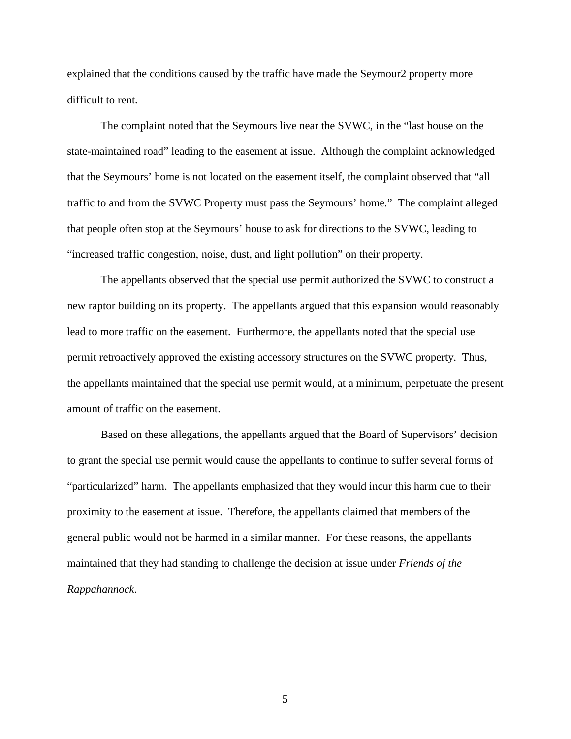explained that the conditions caused by the traffic have made the Seymour2 property more difficult to rent.

The complaint noted that the Seymours live near the SVWC, in the "last house on the state-maintained road" leading to the easement at issue. Although the complaint acknowledged that the Seymours' home is not located on the easement itself, the complaint observed that "all traffic to and from the SVWC Property must pass the Seymours' home." The complaint alleged that people often stop at the Seymours' house to ask for directions to the SVWC, leading to "increased traffic congestion, noise, dust, and light pollution" on their property.

The appellants observed that the special use permit authorized the SVWC to construct a new raptor building on its property. The appellants argued that this expansion would reasonably lead to more traffic on the easement. Furthermore, the appellants noted that the special use permit retroactively approved the existing accessory structures on the SVWC property. Thus, the appellants maintained that the special use permit would, at a minimum, perpetuate the present amount of traffic on the easement.

Based on these allegations, the appellants argued that the Board of Supervisors' decision to grant the special use permit would cause the appellants to continue to suffer several forms of "particularized" harm. The appellants emphasized that they would incur this harm due to their proximity to the easement at issue. Therefore, the appellants claimed that members of the general public would not be harmed in a similar manner. For these reasons, the appellants maintained that they had standing to challenge the decision at issue under *Friends of the Rappahannock*.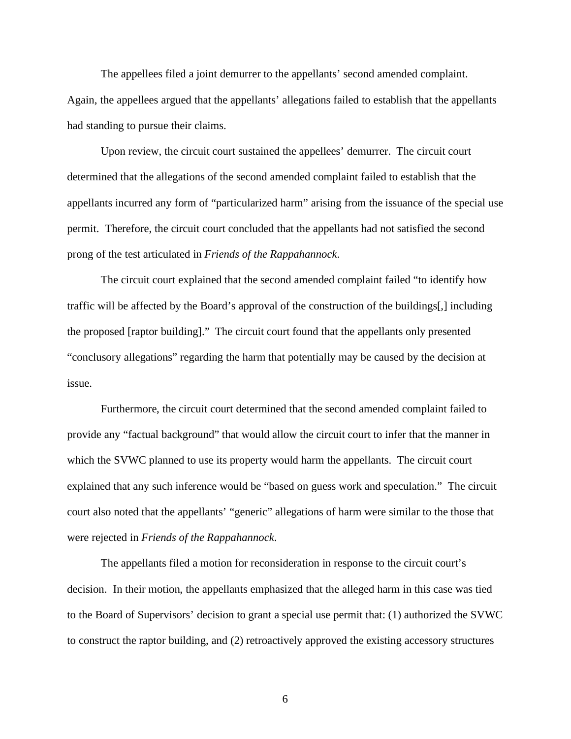The appellees filed a joint demurrer to the appellants' second amended complaint. Again, the appellees argued that the appellants' allegations failed to establish that the appellants had standing to pursue their claims.

Upon review, the circuit court sustained the appellees' demurrer. The circuit court determined that the allegations of the second amended complaint failed to establish that the appellants incurred any form of "particularized harm" arising from the issuance of the special use permit. Therefore, the circuit court concluded that the appellants had not satisfied the second prong of the test articulated in *Friends of the Rappahannock*.

The circuit court explained that the second amended complaint failed "to identify how traffic will be affected by the Board's approval of the construction of the buildings[,] including the proposed [raptor building]." The circuit court found that the appellants only presented "conclusory allegations" regarding the harm that potentially may be caused by the decision at issue.

Furthermore, the circuit court determined that the second amended complaint failed to provide any "factual background" that would allow the circuit court to infer that the manner in which the SVWC planned to use its property would harm the appellants. The circuit court explained that any such inference would be "based on guess work and speculation." The circuit court also noted that the appellants' "generic" allegations of harm were similar to the those that were rejected in *Friends of the Rappahannock*.

The appellants filed a motion for reconsideration in response to the circuit court's decision. In their motion, the appellants emphasized that the alleged harm in this case was tied to the Board of Supervisors' decision to grant a special use permit that: (1) authorized the SVWC to construct the raptor building, and (2) retroactively approved the existing accessory structures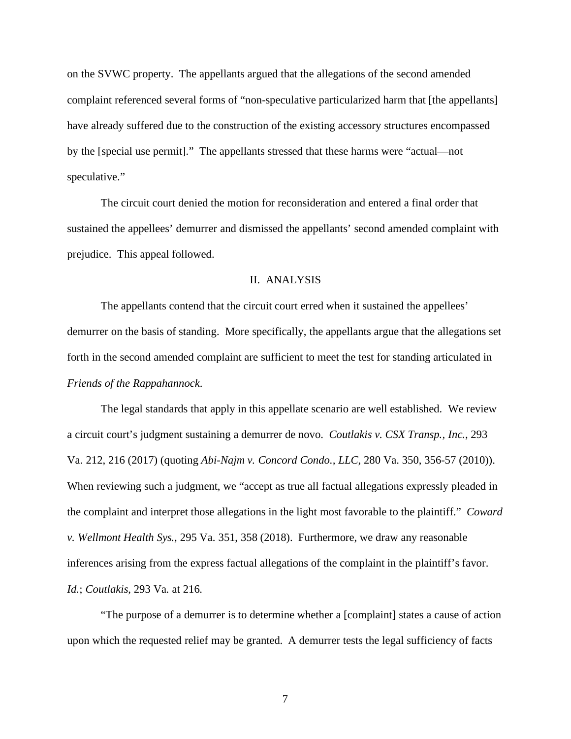on the SVWC property. The appellants argued that the allegations of the second amended complaint referenced several forms of "non-speculative particularized harm that [the appellants] have already suffered due to the construction of the existing accessory structures encompassed by the [special use permit]." The appellants stressed that these harms were "actual—not speculative."

The circuit court denied the motion for reconsideration and entered a final order that sustained the appellees' demurrer and dismissed the appellants' second amended complaint with prejudice. This appeal followed.

#### II. ANALYSIS

The appellants contend that the circuit court erred when it sustained the appellees' demurrer on the basis of standing. More specifically, the appellants argue that the allegations set forth in the second amended complaint are sufficient to meet the test for standing articulated in *Friends of the Rappahannock*.

The legal standards that apply in this appellate scenario are well established. We review a circuit court's judgment sustaining a demurrer de novo. *Coutlakis v. CSX Transp., Inc.*, 293 Va. 212, 216 (2017) (quoting *Abi-Najm v. Concord Condo., LLC*, 280 Va. 350, 356-57 (2010)). When reviewing such a judgment, we "accept as true all factual allegations expressly pleaded in the complaint and interpret those allegations in the light most favorable to the plaintiff." *Coward v. Wellmont Health Sys.*, 295 Va. 351, 358 (2018). Furthermore, we draw any reasonable inferences arising from the express factual allegations of the complaint in the plaintiff's favor. *Id.*; *Coutlakis*, 293 Va. at 216.

"The purpose of a demurrer is to determine whether a [complaint] states a cause of action upon which the requested relief may be granted. A demurrer tests the legal sufficiency of facts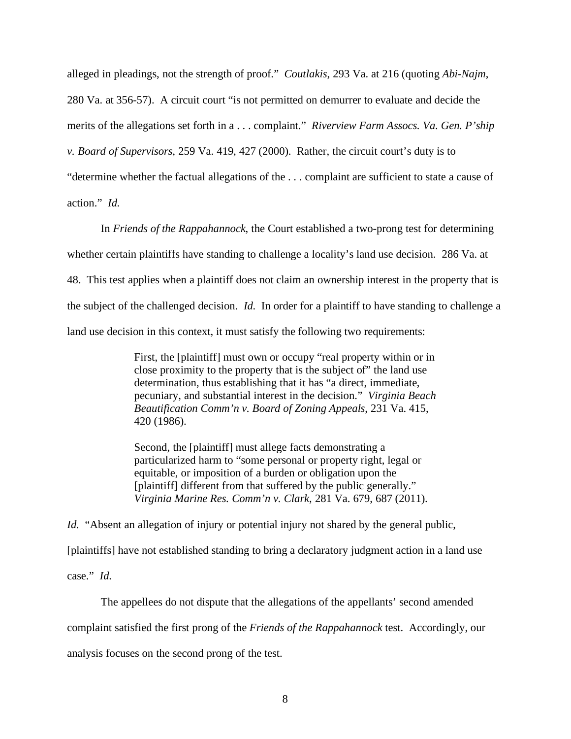alleged in pleadings, not the strength of proof." *Coutlakis*, 293 Va. at 216 (quoting *Abi-Najm*, 280 Va. at 356-57). A circuit court "is not permitted on demurrer to evaluate and decide the merits of the allegations set forth in a . . . complaint." *Riverview Farm Assocs. Va. Gen. P'ship v. Board of Supervisors*, 259 Va. 419, 427 (2000). Rather, the circuit court's duty is to "determine whether the factual allegations of the . . . complaint are sufficient to state a cause of action." *Id.*

In *Friends of the Rappahannock*, the Court established a two-prong test for determining whether certain plaintiffs have standing to challenge a locality's land use decision. 286 Va. at 48. This test applies when a plaintiff does not claim an ownership interest in the property that is the subject of the challenged decision. *Id.* In order for a plaintiff to have standing to challenge a land use decision in this context, it must satisfy the following two requirements:

> First, the [plaintiff] must own or occupy "real property within or in close proximity to the property that is the subject of" the land use determination, thus establishing that it has "a direct, immediate, pecuniary, and substantial interest in the decision." *Virginia Beach Beautification Comm'n v. Board of Zoning Appeals*, 231 Va. 415, 420 (1986).

Second, the [plaintiff] must allege facts demonstrating a particularized harm to "some personal or property right, legal or equitable, or imposition of a burden or obligation upon the [plaintiff] different from that suffered by the public generally." *Virginia Marine Res. Comm'n v. Clark*, 281 Va. 679, 687 (2011).

*Id.* "Absent an allegation of injury or potential injury not shared by the general public, [plaintiffs] have not established standing to bring a declaratory judgment action in a land use case." *Id.*

The appellees do not dispute that the allegations of the appellants' second amended complaint satisfied the first prong of the *Friends of the Rappahannock* test. Accordingly, our analysis focuses on the second prong of the test.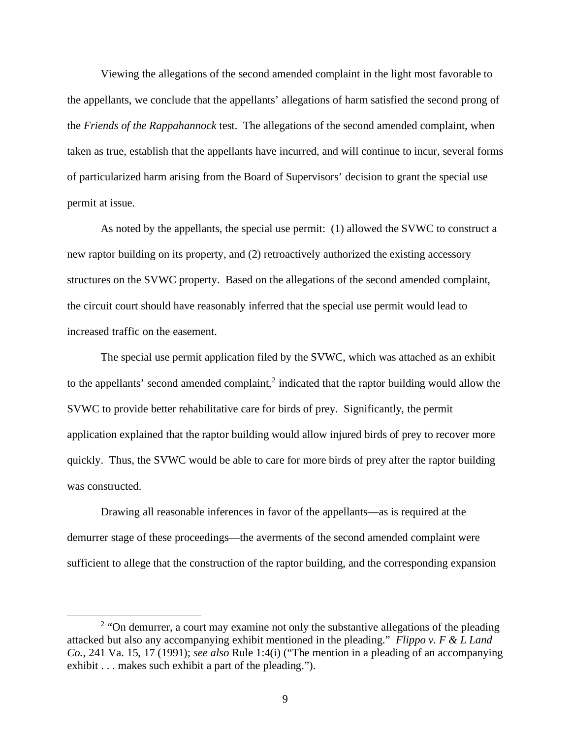Viewing the allegations of the second amended complaint in the light most favorable to the appellants, we conclude that the appellants' allegations of harm satisfied the second prong of the *Friends of the Rappahannock* test. The allegations of the second amended complaint, when taken as true, establish that the appellants have incurred, and will continue to incur, several forms of particularized harm arising from the Board of Supervisors' decision to grant the special use permit at issue.

As noted by the appellants, the special use permit: (1) allowed the SVWC to construct a new raptor building on its property, and (2) retroactively authorized the existing accessory structures on the SVWC property. Based on the allegations of the second amended complaint, the circuit court should have reasonably inferred that the special use permit would lead to increased traffic on the easement.

The special use permit application filed by the SVWC, which was attached as an exhibit to the appellants' second amended complaint,<sup>[2](#page-8-0)</sup> indicated that the raptor building would allow the SVWC to provide better rehabilitative care for birds of prey. Significantly, the permit application explained that the raptor building would allow injured birds of prey to recover more quickly. Thus, the SVWC would be able to care for more birds of prey after the raptor building was constructed.

Drawing all reasonable inferences in favor of the appellants—as is required at the demurrer stage of these proceedings—the averments of the second amended complaint were sufficient to allege that the construction of the raptor building, and the corresponding expansion

<span id="page-8-0"></span><sup>&</sup>lt;sup>2</sup> "On demurrer, a court may examine not only the substantive allegations of the pleading attacked but also any accompanying exhibit mentioned in the pleading." *Flippo v. F & L Land Co.*, 241 Va. 15, 17 (1991); *see also* Rule 1:4(i) ("The mention in a pleading of an accompanying exhibit . . . makes such exhibit a part of the pleading.").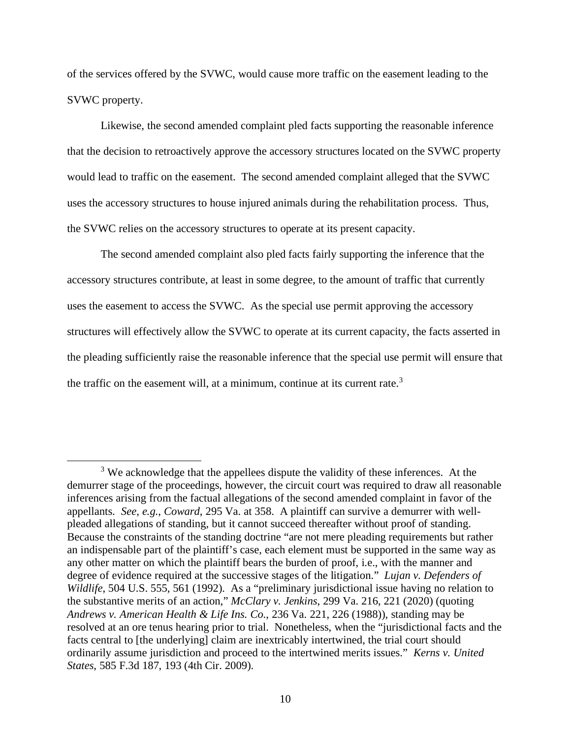of the services offered by the SVWC, would cause more traffic on the easement leading to the SVWC property.

Likewise, the second amended complaint pled facts supporting the reasonable inference that the decision to retroactively approve the accessory structures located on the SVWC property would lead to traffic on the easement. The second amended complaint alleged that the SVWC uses the accessory structures to house injured animals during the rehabilitation process. Thus, the SVWC relies on the accessory structures to operate at its present capacity.

The second amended complaint also pled facts fairly supporting the inference that the accessory structures contribute, at least in some degree, to the amount of traffic that currently uses the easement to access the SVWC. As the special use permit approving the accessory structures will effectively allow the SVWC to operate at its current capacity, the facts asserted in the pleading sufficiently raise the reasonable inference that the special use permit will ensure that the traffic on the easement will, at a minimum, continue at its current rate.<sup>[3](#page-9-0)</sup>

<span id="page-9-0"></span><sup>&</sup>lt;sup>3</sup> We acknowledge that the appellees dispute the validity of these inferences. At the demurrer stage of the proceedings, however, the circuit court was required to draw all reasonable inferences arising from the factual allegations of the second amended complaint in favor of the appellants. *See, e.g.*, *Coward*, 295 Va. at 358. A plaintiff can survive a demurrer with wellpleaded allegations of standing, but it cannot succeed thereafter without proof of standing. Because the constraints of the standing doctrine "are not mere pleading requirements but rather an indispensable part of the plaintiff's case, each element must be supported in the same way as any other matter on which the plaintiff bears the burden of proof, i.e., with the manner and degree of evidence required at the successive stages of the litigation." *Lujan v. Defenders of Wildlife*, 504 U.S. 555, 561 (1992). As a "preliminary jurisdictional issue having no relation to the substantive merits of an action," *McClary v. Jenkins*, 299 Va. 216, 221 (2020) (quoting *Andrews v. American Health & Life Ins. Co.*, 236 Va. 221, 226 (1988)), standing may be resolved at an ore tenus hearing prior to trial. Nonetheless, when the "jurisdictional facts and the facts central to [the underlying] claim are inextricably intertwined, the trial court should ordinarily assume jurisdiction and proceed to the intertwined merits issues." *Kerns v. United States*, 585 F.3d 187, 193 (4th Cir. 2009).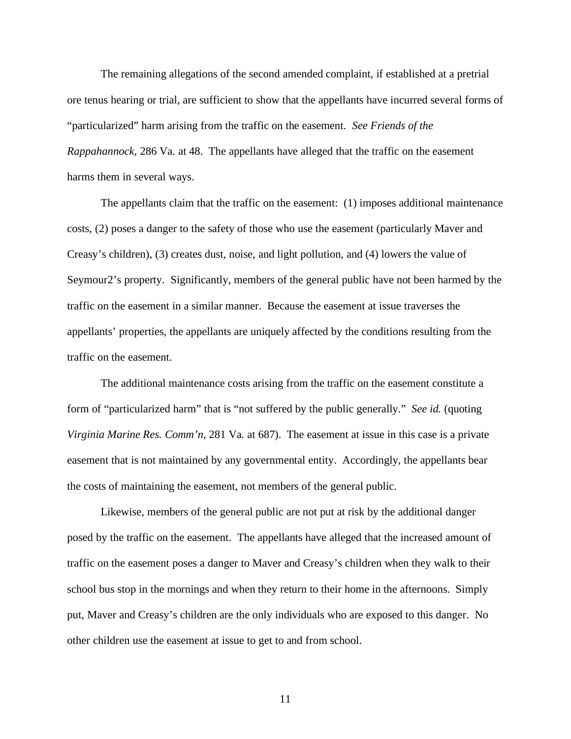The remaining allegations of the second amended complaint, if established at a pretrial ore tenus hearing or trial, are sufficient to show that the appellants have incurred several forms of "particularized" harm arising from the traffic on the easement. *See Friends of the Rappahannock*, 286 Va. at 48. The appellants have alleged that the traffic on the easement harms them in several ways.

The appellants claim that the traffic on the easement: (1) imposes additional maintenance costs, (2) poses a danger to the safety of those who use the easement (particularly Maver and Creasy's children), (3) creates dust, noise, and light pollution, and (4) lowers the value of Seymour2's property. Significantly, members of the general public have not been harmed by the traffic on the easement in a similar manner. Because the easement at issue traverses the appellants' properties, the appellants are uniquely affected by the conditions resulting from the traffic on the easement.

The additional maintenance costs arising from the traffic on the easement constitute a form of "particularized harm" that is "not suffered by the public generally." *See id.* (quoting *Virginia Marine Res. Comm'n,* 281 Va. at 687). The easement at issue in this case is a private easement that is not maintained by any governmental entity. Accordingly, the appellants bear the costs of maintaining the easement, not members of the general public.

Likewise, members of the general public are not put at risk by the additional danger posed by the traffic on the easement. The appellants have alleged that the increased amount of traffic on the easement poses a danger to Maver and Creasy's children when they walk to their school bus stop in the mornings and when they return to their home in the afternoons. Simply put, Maver and Creasy's children are the only individuals who are exposed to this danger. No other children use the easement at issue to get to and from school.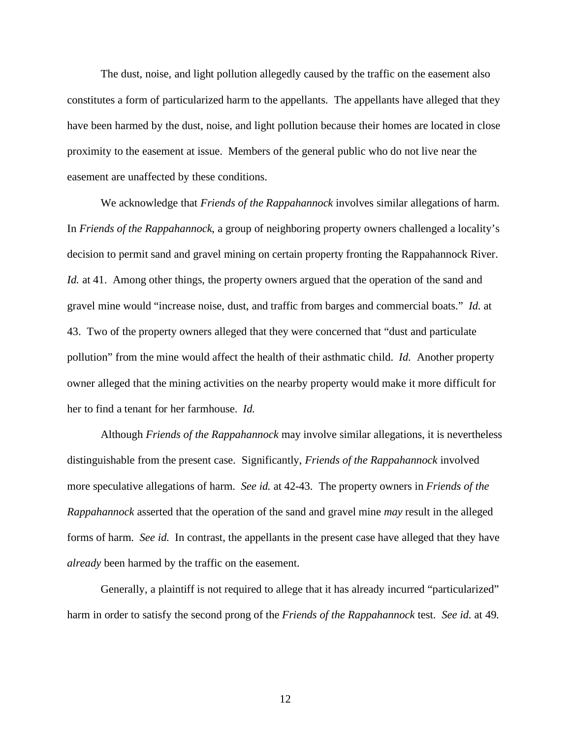The dust, noise, and light pollution allegedly caused by the traffic on the easement also constitutes a form of particularized harm to the appellants. The appellants have alleged that they have been harmed by the dust, noise, and light pollution because their homes are located in close proximity to the easement at issue. Members of the general public who do not live near the easement are unaffected by these conditions.

We acknowledge that *Friends of the Rappahannock* involves similar allegations of harm. In *Friends of the Rappahannock*, a group of neighboring property owners challenged a locality's decision to permit sand and gravel mining on certain property fronting the Rappahannock River. *Id.* at 41. Among other things, the property owners argued that the operation of the sand and gravel mine would "increase noise, dust, and traffic from barges and commercial boats." *Id.* at 43. Two of the property owners alleged that they were concerned that "dust and particulate pollution" from the mine would affect the health of their asthmatic child. *Id.* Another property owner alleged that the mining activities on the nearby property would make it more difficult for her to find a tenant for her farmhouse. *Id.*

Although *Friends of the Rappahannock* may involve similar allegations, it is nevertheless distinguishable from the present case. Significantly, *Friends of the Rappahannock* involved more speculative allegations of harm. *See id.* at 42-43. The property owners in *Friends of the Rappahannock* asserted that the operation of the sand and gravel mine *may* result in the alleged forms of harm. *See id.* In contrast, the appellants in the present case have alleged that they have *already* been harmed by the traffic on the easement.

Generally, a plaintiff is not required to allege that it has already incurred "particularized" harm in order to satisfy the second prong of the *Friends of the Rappahannock* test. *See id.* at 49.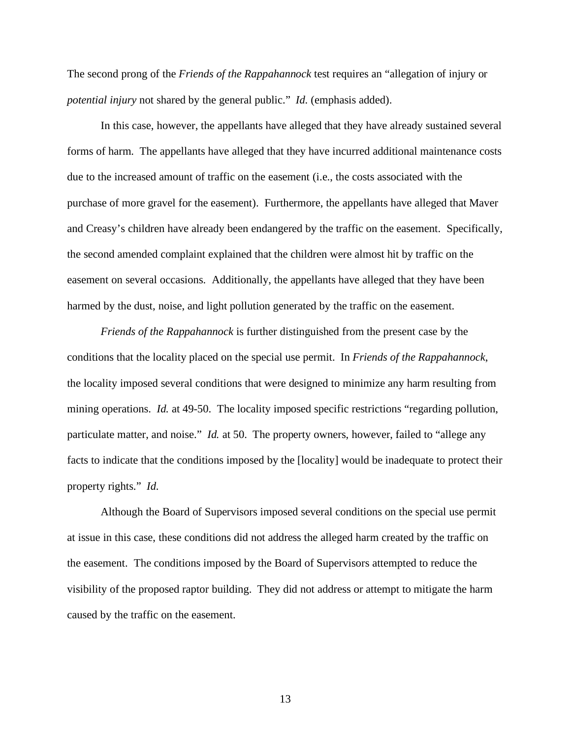The second prong of the *Friends of the Rappahannock* test requires an "allegation of injury or *potential injury* not shared by the general public." *Id.* (emphasis added).

In this case, however, the appellants have alleged that they have already sustained several forms of harm. The appellants have alleged that they have incurred additional maintenance costs due to the increased amount of traffic on the easement (i.e., the costs associated with the purchase of more gravel for the easement). Furthermore, the appellants have alleged that Maver and Creasy's children have already been endangered by the traffic on the easement. Specifically, the second amended complaint explained that the children were almost hit by traffic on the easement on several occasions. Additionally, the appellants have alleged that they have been harmed by the dust, noise, and light pollution generated by the traffic on the easement.

*Friends of the Rappahannock* is further distinguished from the present case by the conditions that the locality placed on the special use permit. In *Friends of the Rappahannock*, the locality imposed several conditions that were designed to minimize any harm resulting from mining operations. *Id.* at 49-50. The locality imposed specific restrictions "regarding pollution, particulate matter, and noise." *Id.* at 50. The property owners, however, failed to "allege any facts to indicate that the conditions imposed by the [locality] would be inadequate to protect their property rights." *Id.*

Although the Board of Supervisors imposed several conditions on the special use permit at issue in this case, these conditions did not address the alleged harm created by the traffic on the easement. The conditions imposed by the Board of Supervisors attempted to reduce the visibility of the proposed raptor building. They did not address or attempt to mitigate the harm caused by the traffic on the easement.